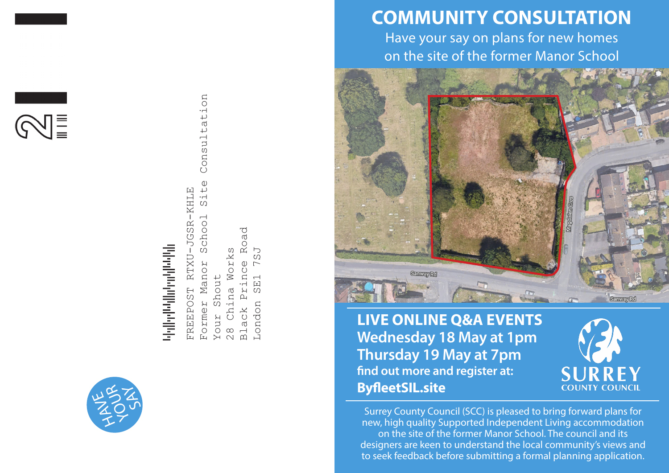



# վելի գործական հայկական են կանության հայ

Former Manor School Site Consultation Consultation Site  $-KHLLE$ FREEPOST RTXU-JGSR-KHLE  $\overline{\phantom{0}}$ JGSR-Schoo Road Black Prince Road 28 China Works Works  $\overline{C}$ London SE1 7SJ RTXU ince  $\Gamma$ Mano: Your Shout Shout  $\Xi$ FREEPOST  $\mathop{\mathsf{H}}\nolimits$ တြ China ப் Former London Black Your  $\frac{8}{2}$ 

# **COMMUNITY CONSULTATION**

Have your say on plans for new homes on the site of the former Manor School



**LIVE ONLINE Q&A EVENTS Wednesday 18 May at 1pm Thursday 19 May at 7pm find out more and register at: ByfleetSIL.site**



Surrey County Council (SCC) is pleased to bring forward plans for new, high quality Supported Independent Living accommodation on the site of the former Manor School. The council and its designers are keen to understand the local community's views and to seek feedback before submitting a formal planning application.